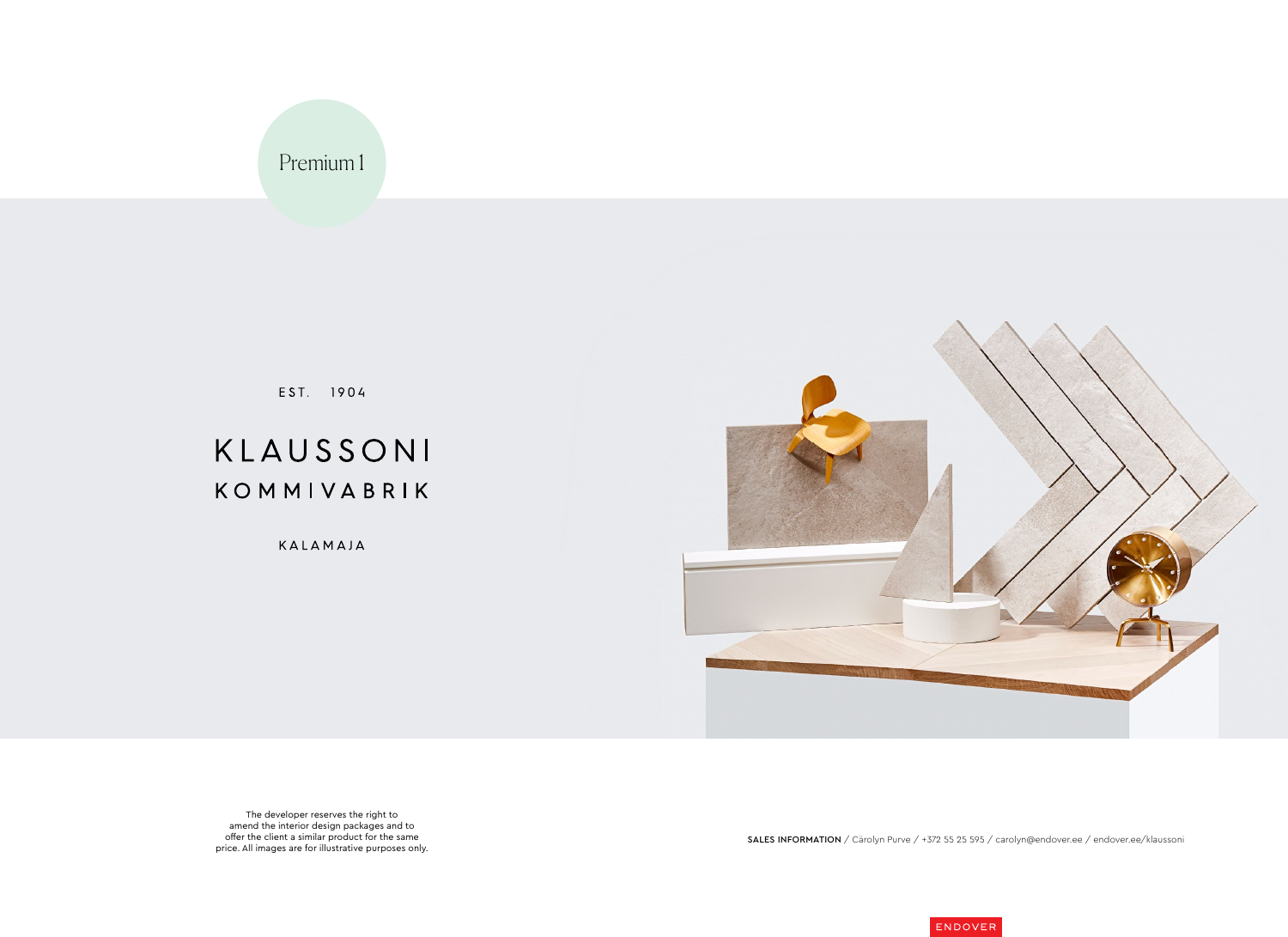The developer reserves the right to amend the interior design packages and to offer the client a similar product for the same price. All images are for illustrative purposes only.

SALES INFORMATION / Cärolyn Purve / +372 55 25 595 / carolyn@endover.ee / endover.ee/klaussoni



Premium 1

EST. 1904

# KLAUSSONI KOMMIVABRIK

KALAMAJA